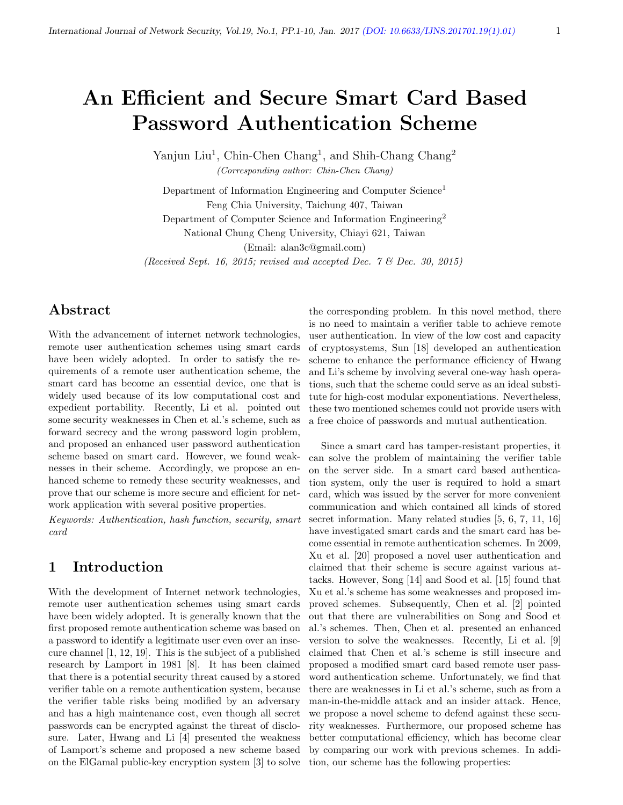# An Efficient and Secure Smart Card Based Password Authentication Scheme

Yanjun Liu<sup>1</sup>, Chin-Chen Chang<sup>1</sup>, and Shih-Chang Chang<sup>2</sup> (Corresponding author: Chin-Chen Chang)

Department of Information Engineering and Computer Science<sup>1</sup> Feng Chia University, Taichung 407, Taiwan Department of Computer Science and Information Engineering<sup>2</sup> National Chung Cheng University, Chiayi 621, Taiwan (Email: alan3c@gmail.com)

(Received Sept. 16, 2015; revised and accepted Dec. 7 & Dec. 30, 2015)

### Abstract

With the advancement of internet network technologies, remote user authentication schemes using smart cards have been widely adopted. In order to satisfy the requirements of a remote user authentication scheme, the smart card has become an essential device, one that is widely used because of its low computational cost and expedient portability. Recently, Li et al. pointed out some security weaknesses in Chen et al.'s scheme, such as forward secrecy and the wrong password login problem, and proposed an enhanced user password authentication scheme based on smart card. However, we found weaknesses in their scheme. Accordingly, we propose an enhanced scheme to remedy these security weaknesses, and prove that our scheme is more secure and efficient for network application with several positive properties.

Keywords: Authentication, hash function, security, smart card

### 1 Introduction

With the development of Internet network technologies, remote user authentication schemes using smart cards have been widely adopted. It is generally known that the first proposed remote authentication scheme was based on a password to identify a legitimate user even over an insecure channel [1, 12, 19]. This is the subject of a published research by Lamport in 1981 [8]. It has been claimed that there is a potential security threat caused by a stored verifier table on a remote authentication system, because the verifier table risks being modified by an adversary and has a high maintenance cost, even though all secret passwords can be encrypted against the threat of disclosure. Later, Hwang and Li [4] presented the weakness of Lamport's scheme and proposed a new scheme based on the ElGamal public-key encryption system [3] to solve the corresponding problem. In this novel method, there is no need to maintain a verifier table to achieve remote user authentication. In view of the low cost and capacity of cryptosystems, Sun [18] developed an authentication scheme to enhance the performance efficiency of Hwang and Li's scheme by involving several one-way hash operations, such that the scheme could serve as an ideal substitute for high-cost modular exponentiations. Nevertheless, these two mentioned schemes could not provide users with a free choice of passwords and mutual authentication.

Since a smart card has tamper-resistant properties, it can solve the problem of maintaining the verifier table on the server side. In a smart card based authentication system, only the user is required to hold a smart card, which was issued by the server for more convenient communication and which contained all kinds of stored secret information. Many related studies  $[5, 6, 7, 11, 16]$ have investigated smart cards and the smart card has become essential in remote authentication schemes. In 2009, Xu et al. [20] proposed a novel user authentication and claimed that their scheme is secure against various attacks. However, Song [14] and Sood et al. [15] found that Xu et al.'s scheme has some weaknesses and proposed improved schemes. Subsequently, Chen et al. [2] pointed out that there are vulnerabilities on Song and Sood et al.'s schemes. Then, Chen et al. presented an enhanced version to solve the weaknesses. Recently, Li et al. [9] claimed that Chen et al.'s scheme is still insecure and proposed a modified smart card based remote user password authentication scheme. Unfortunately, we find that there are weaknesses in Li et al.'s scheme, such as from a man-in-the-middle attack and an insider attack. Hence, we propose a novel scheme to defend against these security weaknesses. Furthermore, our proposed scheme has better computational efficiency, which has become clear by comparing our work with previous schemes. In addition, our scheme has the following properties: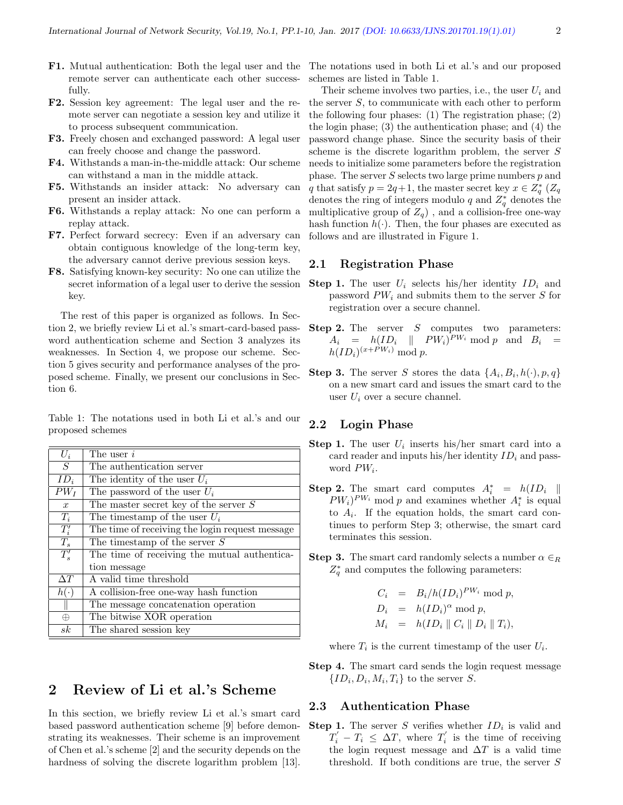- F1. Mutual authentication: Both the legal user and the remote server can authenticate each other successfully.
- F2. Session key agreement: The legal user and the remote server can negotiate a session key and utilize it to process subsequent communication.
- F3. Freely chosen and exchanged password: A legal user can freely choose and change the password.
- F4. Withstands a man-in-the-middle attack: Our scheme can withstand a man in the middle attack.
- F5. Withstands an insider attack: No adversary can present an insider attack.
- F6. Withstands a replay attack: No one can perform a replay attack.
- F7. Perfect forward secrecy: Even if an adversary can obtain contiguous knowledge of the long-term key, the adversary cannot derive previous session keys.
- F8. Satisfying known-key security: No one can utilize the secret information of a legal user to derive the session key.

The rest of this paper is organized as follows. In Section 2, we briefly review Li et al.'s smart-card-based password authentication scheme and Section 3 analyzes its weaknesses. In Section 4, we propose our scheme. Section 5 gives security and performance analyses of the proposed scheme. Finally, we present our conclusions in Section 6.

Table 1: The notations used in both Li et al.'s and our proposed schemes

| $U_i$             | The user $i$                                    |
|-------------------|-------------------------------------------------|
| S                 | The authentication server                       |
| $ID_i$            | The identity of the user $U_i$                  |
| $PW_I$            | The password of the user $U_i$                  |
| $\boldsymbol{x}$  | The master secret key of the server $S$         |
| $T_i$             | The timestamp of the user $U_i$                 |
| $T_i'$            | The time of receiving the login request message |
| $T_s$             | The timestamp of the server $S$                 |
| $\overline{T'_s}$ | The time of receiving the mutual authentica-    |
|                   | tion message                                    |
| $\Delta T$        | A valid time threshold                          |
| $h(\cdot)$        | A collision-free one-way hash function          |
|                   | The message concatenation operation             |
| $\oplus$          | The bitwise XOR operation                       |
| sk                | The shared session key                          |

### 2 Review of Li et al.'s Scheme

In this section, we briefly review Li et al.'s smart card based password authentication scheme [9] before demonstrating its weaknesses. Their scheme is an improvement of Chen et al.'s scheme [2] and the security depends on the hardness of solving the discrete logarithm problem [13].

The notations used in both Li et al.'s and our proposed schemes are listed in Table 1.

Their scheme involves two parties, i.e., the user  $U_i$  and the server  $S$ , to communicate with each other to perform the following four phases: (1) The registration phase; (2) the login phase; (3) the authentication phase; and (4) the password change phase. Since the security basis of their scheme is the discrete logarithm problem, the server S needs to initialize some parameters before the registration phase. The server  $S$  selects two large prime numbers  $p$  and q that satisfy  $p = 2q+1$ , the master secret key  $x \in Z_q^*$  ( $Z_q$ denotes the ring of integers modulo q and  $Z_q^*$  denotes the multiplicative group of  $Z_q$ ), and a collision-free one-way hash function  $h(\cdot)$ . Then, the four phases are executed as follows and are illustrated in Figure 1.

#### 2.1 Registration Phase

- **Step 1.** The user  $U_i$  selects his/her identity  $ID_i$  and password  $PW_i$  and submits them to the server S for registration over a secure channel.
- Step 2. The server S computes two parameters:  $A_i = h(ID_i \parallel PW_i)^{PW_i} \bmod p$  and  $B_i =$  $h(ID_i)^{(x+PW_i)} \bmod p.$
- **Step 3.** The server S stores the data  $\{A_i, B_i, h(\cdot), p, q\}$ on a new smart card and issues the smart card to the user  $U_i$  over a secure channel.

### 2.2 Login Phase

- **Step 1.** The user  $U_i$  inserts his/her smart card into a card reader and inputs his/her identity  $ID_i$  and password  $PW_i$ .
- **Step 2.** The smart card computes  $A_i^* = h(ID_i \parallel$  $PW_i)^{PW_i}$  mod p and examines whether  $A_i^*$  is equal to  $A_i$ . If the equation holds, the smart card continues to perform Step 3; otherwise, the smart card terminates this session.
- **Step 3.** The smart card randomly selects a number  $\alpha \in R$  $Z_q^*$  and computes the following parameters:

$$
C_i = B_i/h(ID_i)^{PW_i} \mod p,
$$
  
\n
$$
D_i = h(ID_i)^{\alpha} \mod p,
$$
  
\n
$$
M_i = h(ID_i || C_i || D_i || T_i),
$$

where  $T_i$  is the current timestamp of the user  $U_i$ .

Step 4. The smart card sends the login request message  $\{ID_i, D_i, M_i, T_i\}$  to the server S.

#### 2.3 Authentication Phase

**Step 1.** The server S verifies whether  $ID_i$  is valid and  $T_i' - T_i \leq \Delta T$ , where  $T_i'$  is the time of receiving the login request message and  $\Delta T$  is a valid time threshold. If both conditions are true, the server S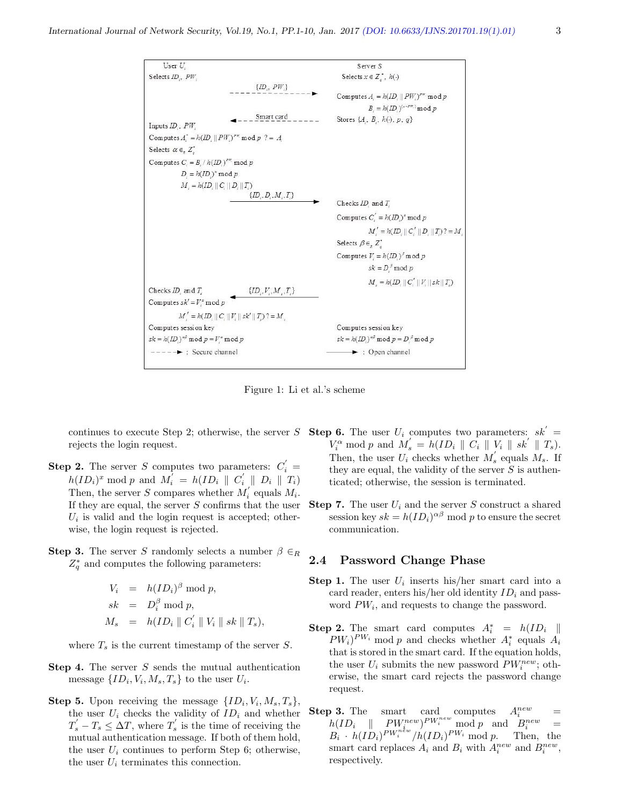

Figure 1: Li et al.'s scheme

continues to execute Step 2; otherwise, the server S Step 6. The user  $U_i$  computes two parameters:  $sk' =$ rejects the login request.

- **Step 2.** The server S computes two parameters:  $C_i' =$  $h(ID_i)^x \bmod p$  and  $M'_i = h(ID_i \parallel C'_i \parallel D_i \parallel T_i)$ Then, the server S compares whether  $M_i^{'}$  equals  $M_i$ . If they are equal, the server  $S$  confirms that the user  $U_i$  is valid and the login request is accepted; otherwise, the login request is rejected.
- **Step 3.** The server S randomly selects a number  $\beta \in_R$  $Z_q^*$  and computes the following parameters:

$$
V_i = h(ID_i)^{\beta} \mod p,
$$
  
\n
$$
sk = D_i^{\beta} \mod p,
$$
  
\n
$$
M_s = h(ID_i || C_i' || V_i || sk || T_s),
$$

where  $T_s$  is the current timestamp of the server S.

- **Step 4.** The server  $S$  sends the mutual authentication message  $\{ID_i, V_i, M_s, T_s\}$  to the user  $U_i$ .
- **Step 5.** Upon receiving the message  $\{ID_i, V_i, M_s, T_s\},\$ the user  $U_i$  checks the validity of  $ID_i$  and whether  $T_s' - T_s \leq \Delta T$ , where  $T_s'$  is the time of receiving the mutual authentication message. If both of them hold, the user  $U_i$  continues to perform Step 6; otherwise, the user  $U_i$  terminates this connection.
- $V_i^{\alpha} \bmod p$  and  $M_s' = h(ID_i \parallel C_i \parallel V_i \parallel sk' \parallel T_s)$ . Then, the user  $U_i$  checks whether  $M'_s$  equals  $M_s$ . If they are equal, the validity of the server  $S$  is authenticated; otherwise, the session is terminated.
- **Step 7.** The user  $U_i$  and the server S construct a shared session key  $sk = h(ID_i)^{\alpha\beta} \text{ mod } p$  to ensure the secret communication.

#### 2.4 Password Change Phase

- **Step 1.** The user  $U_i$  inserts his/her smart card into a card reader, enters his/her old identity  $ID_i$  and password  $PW_i$ , and requests to change the password.
- **Step 2.** The smart card computes  $A_i^* = h(ID_i \parallel$  $PW_i)^{PW_i}$  mod p and checks whether  $A_i^*$  equals  $A_i$ that is stored in the smart card. If the equation holds, the user  $U_i$  submits the new password  $PW_i^{new}$ ; otherwise, the smart card rejects the password change request.
- **Step 3.** The smart card computes  $A_i^{new}$  =  $h(ID_i \parallel P W^{new}_{i})^{PW^{new}} \text{mod } p \text{ and } B^{new}_{i} =$  $B_i \cdot h(\overline{ID}_i)^{PW_i^{new}}/h(\overline{ID}_i)^{PW_i} \text{ mod } p.$  Then, the smart card replaces  $A_i$  and  $B_i$  with  $A_i^{new}$  and  $B_i^{new}$ , respectively.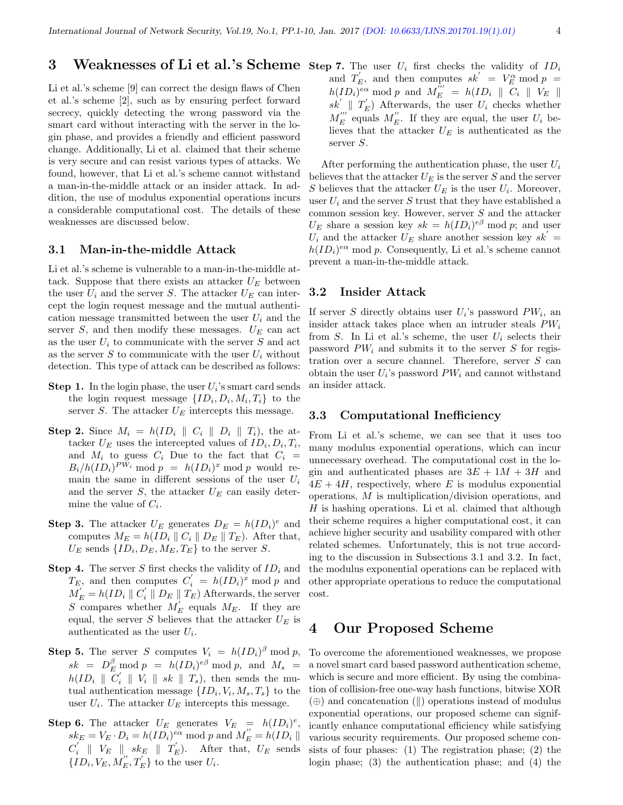### **3** Weaknesses of Li et al.'s Scheme step 7. The user  $U_i$  first checks the validity of  $ID_i$

Li et al.'s scheme [9] can correct the design flaws of Chen et al.'s scheme [2], such as by ensuring perfect forward secrecy, quickly detecting the wrong password via the smart card without interacting with the server in the login phase, and provides a friendly and efficient password change. Additionally, Li et al. claimed that their scheme is very secure and can resist various types of attacks. We found, however, that Li et al.'s scheme cannot withstand a man-in-the-middle attack or an insider attack. In addition, the use of modulus exponential operations incurs a considerable computational cost. The details of these weaknesses are discussed below.

#### 3.1 Man-in-the-middle Attack

Li et al.'s scheme is vulnerable to a man-in-the-middle attack. Suppose that there exists an attacker  $U_E$  between the user  $U_i$  and the server S. The attacker  $U_E$  can intercept the login request message and the mutual authentication message transmitted between the user  $U_i$  and the server  $S$ , and then modify these messages.  $U_E$  can act as the user  $U_i$  to communicate with the server S and act as the server S to communicate with the user  $U_i$  without detection. This type of attack can be described as follows:

- **Step 1.** In the login phase, the user  $U_i$ 's smart card sends the login request message  $\{ID_i, D_i, M_i, T_i\}$  to the server  $S$ . The attacker  $U_E$  intercepts this message.
- **Step 2.** Since  $M_i = h(ID_i \parallel C_i \parallel D_i \parallel T_i)$ , the attacker  $U_E$  uses the intercepted values of  $ID_i, D_i, T_i$ , and  $M_i$  to guess  $C_i$  Due to the fact that  $C_i$  =  $B_i/h(ID_i)^{PW_i} \mod p = h(ID_i)^x \mod p$  would remain the same in different sessions of the user  $U_i$ and the server  $S$ , the attacker  $U_E$  can easily determine the value of  $C_i$ .
- **Step 3.** The attacker  $U_E$  generates  $D_E = h(ID_i)^e$  and computes  $M_E = h(ID_i || C_i || D_E || T_E)$ . After that,  $U_E$  sends  $\{ID_i, D_E, M_E, T_E\}$  to the server S.
- **Step 4.** The server S first checks the validity of  $ID_i$  and  $T_E$ , and then computes  $C_i' = h(ID_i)^x \mod p$  and  $M_{E}^{'} = h(ID_i \parallel C_i^{'} \parallel D_E \parallel T_E)$  Afterwards, the server S compares whether  $M'_E$  equals  $M_E$ . If they are equal, the server S believes that the attacker  $U_E$  is authenticated as the user  $U_i$ .
- **Step 5.** The server S computes  $V_i = h(ID_i)^\beta \text{ mod } p$ ,  $sk = D_E^{\beta} \mod p = h(ID_i)^{e\beta} \mod p$ , and  $M_s =$  $h(ID_i \parallel \overline{C'_i} \parallel V_i \parallel sk \parallel T_s)$ , then sends the mutual authentication message  $\{ID_i, V_i, M_s, T_s\}$  to the user  $U_i$ . The attacker  $U_E$  intercepts this message.
- **Step 6.** The attacker  $U_E$  generates  $V_E = h(ID_i)^e$ ,  $sk_E = V_E \cdot D_i = h(ID_i)^{e\alpha} \text{ mod } p \text{ and } M''_E = h(ID_i ||)$  $C_i' \parallel V_E \parallel sk_E \parallel T_E'.$  After that,  $U_E$  sends  $\{ {ID_i},{V_E},{M_E^''},{T_E'} \}$  to the user  $U_i$ .

and  $T'_E$ , and then computes  $sk' = V_E^{\alpha} \mod p =$  $h(ID_i$ <sup> $e\alpha$ </sup> mod p and  $M_E^{\prime\prime\prime} = h(ID_i \parallel \overline{C_i} \parallel V_E \parallel$  $sk'$  |  $T'_E$ ) Afterwards, the user  $U_i$  checks whether  $M_E^{\prime\prime\prime}$  equals  $M_E^{\prime\prime}$ . If they are equal, the user  $U_i$  believes that the attacker  $U_E$  is authenticated as the server S.

After performing the authentication phase, the user  $U_i$ believes that the attacker  $U_E$  is the server S and the server S believes that the attacker  $U_E$  is the user  $U_i$ . Moreover, user  $U_i$  and the server S trust that they have established a common session key. However, server  $S$  and the attacker  $U_E$  share a session key  $sk = h(ID_i)^{e\beta} \text{ mod } p$ ; and user  $U_i$  and the attacker  $U_E$  share another session key  $sk'$  =  $h(ID_i)^{e\alpha} \mod p$ . Consequently, Li et al.'s scheme cannot prevent a man-in-the-middle attack.

#### 3.2 Insider Attack

If server S directly obtains user  $U_i$ 's password  $PW_i$ , an insider attack takes place when an intruder steals  $PW_i$ from S. In Li et al.'s scheme, the user  $U_i$  selects their password  $PW_i$  and submits it to the server S for registration over a secure channel. Therefore, server S can obtain the user  $U_i$ 's password  $PW_i$  and cannot withstand an insider attack.

#### 3.3 Computational Inefficiency

From Li et al.'s scheme, we can see that it uses too many modulus exponential operations, which can incur unnecessary overhead. The computational cost in the login and authenticated phases are  $3E + 1M + 3H$  and  $4E + 4H$ , respectively, where E is modulus exponential operations, M is multiplication/division operations, and  $H$  is hashing operations. Li et al. claimed that although their scheme requires a higher computational cost, it can achieve higher security and usability compared with other related schemes. Unfortunately, this is not true according to the discussion in Subsections 3.1 and 3.2. In fact, the modulus exponential operations can be replaced with other appropriate operations to reduce the computational cost.

### 4 Our Proposed Scheme

To overcome the aforementioned weaknesses, we propose a novel smart card based password authentication scheme, which is secure and more efficient. By using the combination of collision-free one-way hash functions, bitwise XOR  $(\oplus)$  and concatenation  $(\parallel)$  operations instead of modulus exponential operations, our proposed scheme can significantly enhance computational efficiency while satisfying various security requirements. Our proposed scheme consists of four phases: (1) The registration phase; (2) the login phase; (3) the authentication phase; and (4) the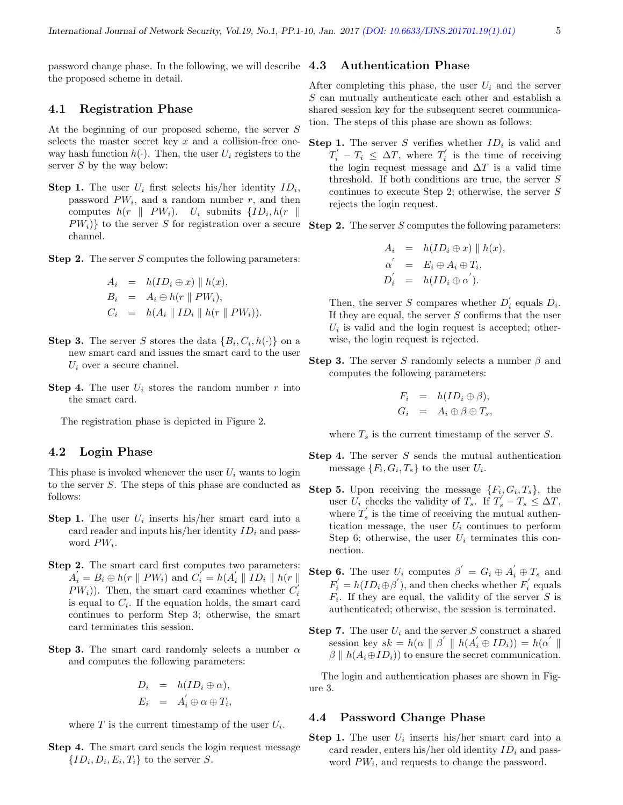password change phase. In the following, we will describe the proposed scheme in detail.

#### 4.1 Registration Phase

At the beginning of our proposed scheme, the server S selects the master secret key  $x$  and a collision-free oneway hash function  $h(\cdot)$ . Then, the user  $U_i$  registers to the server S by the way below:

**Step 1.** The user  $U_i$  first selects his/her identity  $ID_i$ , password  $PW_i$ , and a random number  $r$ , and then computes  $h(r \parallel PW_i)$ .  $U_i$  submits  $\{ID_i, h(r) \parallel$  $PW_i$ } to the server S for registration over a secure channel.

**Step 2.** The server S computes the following parameters:

$$
A_i = h(ID_i \oplus x) \parallel h(x),
$$
  
\n
$$
B_i = A_i \oplus h(r \parallel PW_i),
$$
  
\n
$$
C_i = h(A_i \parallel ID_i \parallel h(r \parallel PW_i)).
$$

- **Step 3.** The server S stores the data  ${B_i, C_i, h(\cdot)}$  on a new smart card and issues the smart card to the user  $U_i$  over a secure channel.
- **Step 4.** The user  $U_i$  stores the random number r into the smart card.

The registration phase is depicted in Figure 2.

#### 4.2 Login Phase

This phase is invoked whenever the user  $U_i$  wants to login to the server S. The steps of this phase are conducted as follows:

- **Step 1.** The user  $U_i$  inserts his/her smart card into a card reader and inputs his/her identity  $ID_i$  and password  $PW_i$ .
- Step 2. The smart card first computes two parameters:  $A_i' = B_i \oplus h(r \parallel PW_i)$  and  $C_i' = h(A_i' \parallel ID_i \parallel h(r \parallel$  $PW_i$ ). Then, the smart card examines whether  $C_i$ is equal to  $C_i$ . If the equation holds, the smart card continues to perform Step 3; otherwise, the smart card terminates this session.
- Step 3. The smart card randomly selects a number  $\alpha$ and computes the following parameters:

$$
D_i = h(ID_i \oplus \alpha),
$$
  

$$
E_i = A_i' \oplus \alpha \oplus T_i,
$$

where  $T$  is the current timestamp of the user  $U_i$ .

Step 4. The smart card sends the login request message  $\{ID_i, D_i, E_i, T_i\}$  to the server S.

#### 4.3 Authentication Phase

After completing this phase, the user  $U_i$  and the server S can mutually authenticate each other and establish a shared session key for the subsequent secret communication. The steps of this phase are shown as follows:

**Step 1.** The server S verifies whether  $ID_i$  is valid and  $T_i' - T_i \leq \Delta T$ , where  $T_i'$  is the time of receiving the login request message and  $\Delta T$  is a valid time threshold. If both conditions are true, the server S continues to execute Step 2; otherwise, the server S rejects the login request.

Step 2. The server S computes the following parameters:

$$
A_i = h(ID_i \oplus x) \parallel h(x),
$$
  
\n
$$
\alpha' = E_i \oplus A_i \oplus T_i,
$$
  
\n
$$
D_i' = h(ID_i \oplus \alpha').
$$

Then, the server S compares whether  $D_i$ <sup>'</sup> equals  $D_i$ . If they are equal, the server  $S$  confirms that the user  $U_i$  is valid and the login request is accepted; otherwise, the login request is rejected.

**Step 3.** The server S randomly selects a number  $\beta$  and computes the following parameters:

$$
F_i = h(ID_i \oplus \beta),
$$
  
\n
$$
G_i = A_i \oplus \beta \oplus T_s,
$$

where  $T_s$  is the current timestamp of the server S.

- **Step 4.** The server  $S$  sends the mutual authentication message  $\{F_i, G_i, T_s\}$  to the user  $U_i$ .
- **Step 5.** Upon receiving the message  $\{F_i, G_i, T_s\}$ , the user  $\overline{U}_i$  checks the validity of  $T_s$ . If  $T_s' - T_s \leq \Delta T$ , where  $T_s$  is the time of receiving the mutual authentication message, the user  $U_i$  continues to perform Step 6; otherwise, the user  $U_i$  terminates this connection.
- **Step 6.** The user  $U_i$  computes  $\beta' = G_i \oplus A_i' \oplus T_s$  and  $F'_{i} = h(ID_{i} \oplus \beta')$ , and then checks whether  $F'_{i}$  equals  $F_i$ . If they are equal, the validity of the server S is authenticated; otherwise, the session is terminated.
- **Step 7.** The user  $U_i$  and the server S construct a shared session key  $sk = h(\alpha \parallel \beta' \parallel h(A_i' \oplus ID_i)) = h(\alpha' \parallel$  $\beta \parallel h(A_i \oplus ID_i)$  to ensure the secret communication.

The login and authentication phases are shown in Figure 3.

#### 4.4 Password Change Phase

**Step 1.** The user  $U_i$  inserts his/her smart card into a card reader, enters his/her old identity  $ID_i$  and password  $PW_i$ , and requests to change the password.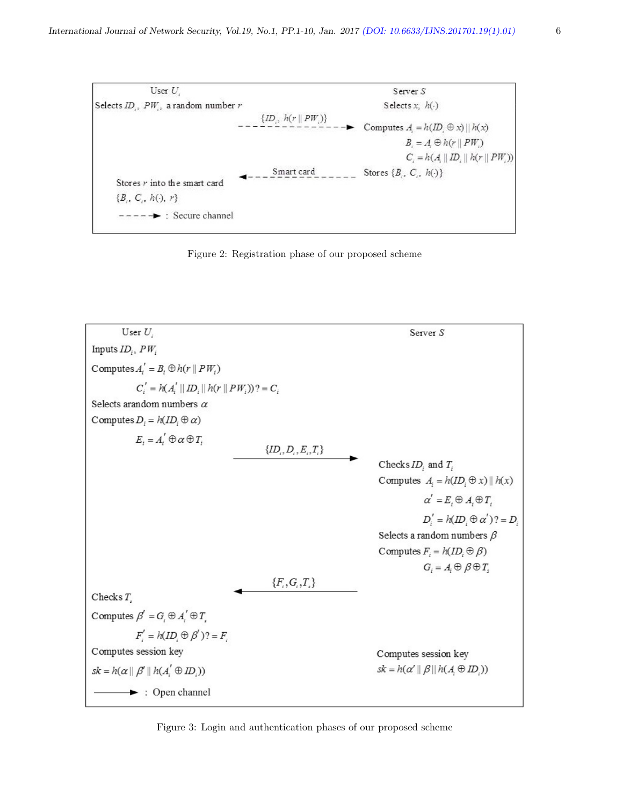





Figure 3: Login and authentication phases of our proposed scheme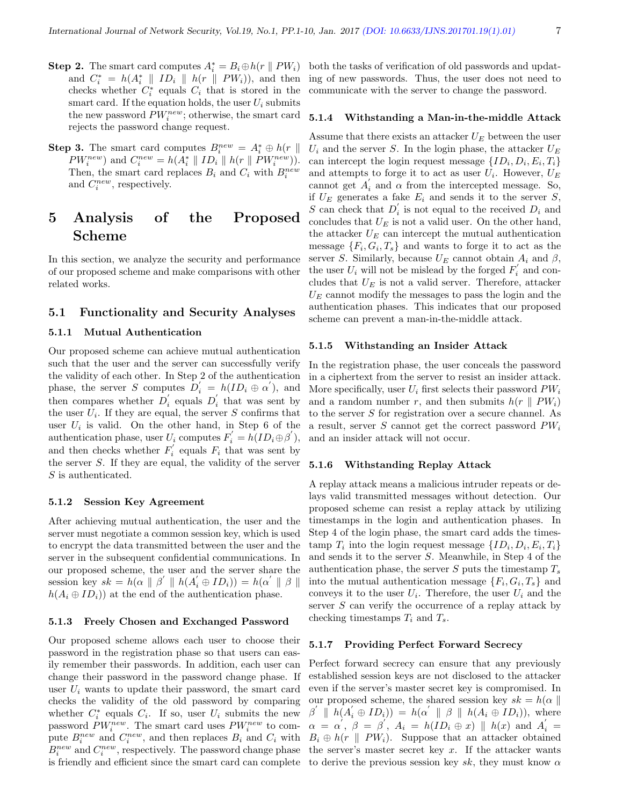- **Step 2.** The smart card computes  $A_i^* = B_i \oplus h(r \parallel PW_i)$ and  $C_i^* = h(A_i^* \parallel ID_i \parallel h(r \parallel PW_i)),$  and then checks whether  $C_i^*$  equals  $C_i$  that is stored in the smart card. If the equation holds, the user  $U_i$  submits the new password  $PW_i^{new}$ ; otherwise, the smart card rejects the password change request.
- **Step 3.** The smart card computes  $B_i^{new} = A_i^* \oplus h(r \parallel$  $PW_i^{new}$  and  $C_i^{new} = h(A_i^* \parallel ID_i \parallel h(r \parallel PW_i^{new})$ . Then, the smart card replaces  $B_i$  and  $C_i$  with  $B_i^{new}$ and  $C_i^{new}$ , respectively.

## 5 Analysis of the Proposed Scheme

In this section, we analyze the security and performance of our proposed scheme and make comparisons with other related works.

#### 5.1 Functionality and Security Analyses

#### 5.1.1 Mutual Authentication

Our proposed scheme can achieve mutual authentication such that the user and the server can successfully verify the validity of each other. In Step 2 of the authentication phase, the server S computes  $D_i' = h(ID_i \oplus \alpha'),$  and then compares whether  $D_i$  equals  $D_i$  that was sent by the user  $U_i$ . If they are equal, the server S confirms that user  $U_i$  is valid. On the other hand, in Step 6 of the authentication phase, user  $U_i$  computes  $F'_i = h(ID_i \oplus \beta'),$ and then checks whether  $F_i'$  equals  $F_i$  that was sent by the server S. If they are equal, the validity of the server S is authenticated.

#### 5.1.2 Session Key Agreement

After achieving mutual authentication, the user and the server must negotiate a common session key, which is used to encrypt the data transmitted between the user and the server in the subsequent confidential communications. In our proposed scheme, the user and the server share the session key  $sk = h(\alpha \parallel \beta' \parallel h(A_i \oplus ID_i)) = h(\alpha' \parallel \beta \parallel$  $h(A_i \oplus ID_i)$  at the end of the authentication phase.

#### 5.1.3 Freely Chosen and Exchanged Password

Our proposed scheme allows each user to choose their password in the registration phase so that users can easily remember their passwords. In addition, each user can change their password in the password change phase. If user  $U_i$  wants to update their password, the smart card checks the validity of the old password by comparing whether  $C_i^*$  equals  $C_i$ . If so, user  $U_i$  submits the new password  $PW_i^{new}$ . The smart card uses  $PW_i^{new}$  to compute  $B_i^{new}$  and  $C_i^{new}$ , and then replaces  $B_i$  and  $C_i$  with  $B_i^{new}$  and  $C_i^{new}$ , respectively. The password change phase is friendly and efficient since the smart card can complete to derive the previous session key sk, they must know  $\alpha$ 

both the tasks of verification of old passwords and updating of new passwords. Thus, the user does not need to communicate with the server to change the password.

#### 5.1.4 Withstanding a Man-in-the-middle Attack

Assume that there exists an attacker  $U_E$  between the user  $U_i$  and the server S. In the login phase, the attacker  $U_E$ can intercept the login request message  $\{ID_i, D_i, E_i, T_i\}$ and attempts to forge it to act as user  $U_i$ . However,  $U_E$ cannot get  $A'_i$  and  $\alpha$  from the intercepted message. So, if  $U_F$  generates a fake  $E_i$  and sends it to the server S, S can check that  $D_i$  is not equal to the received  $D_i$  and concludes that  $U_E$  is not a valid user. On the other hand, the attacker  $U_E$  can intercept the mutual authentication message  $\{F_i, G_i, T_s\}$  and wants to forge it to act as the server S. Similarly, because  $U_E$  cannot obtain  $A_i$  and  $\beta$ , the user  $U_i$  will not be mislead by the forged  $F_i'$  and concludes that  $U_E$  is not a valid server. Therefore, attacker  $U<sub>E</sub>$  cannot modify the messages to pass the login and the authentication phases. This indicates that our proposed scheme can prevent a man-in-the-middle attack.

#### 5.1.5 Withstanding an Insider Attack

In the registration phase, the user conceals the password in a ciphertext from the server to resist an insider attack. More specifically, user  $U_i$  first selects their password  $PW_i$ and a random number r, and then submits  $h(r \parallel PW_i)$ to the server S for registration over a secure channel. As a result, server S cannot get the correct password  $PW_i$ and an insider attack will not occur.

#### 5.1.6 Withstanding Replay Attack

A replay attack means a malicious intruder repeats or delays valid transmitted messages without detection. Our proposed scheme can resist a replay attack by utilizing timestamps in the login and authentication phases. In Step 4 of the login phase, the smart card adds the timestamp  $T_i$  into the login request message  $\{ID_i, D_i, E_i, T_i\}$ and sends it to the server S. Meanwhile, in Step 4 of the authentication phase, the server  $S$  puts the timestamp  $T_s$ into the mutual authentication message  $\{F_i, G_i, T_s\}$  and conveys it to the user  $U_i$ . Therefore, the user  $U_i$  and the server S can verify the occurrence of a replay attack by checking timestamps  $T_i$  and  $T_s$ .

#### 5.1.7 Providing Perfect Forward Secrecy

Perfect forward secrecy can ensure that any previously established session keys are not disclosed to the attacker even if the server's master secret key is compromised. In our proposed scheme, the shared session key  $sk = h(\alpha \parallel$  $\beta' \parallel h(A_i' \oplus ID_i)) = h(\alpha' \parallel \beta \parallel h(A_i \oplus ID_i)),$  where  $\alpha = \alpha', \beta = \beta', A_i = h(ID_i \oplus x) \parallel h(x) \text{ and } A'_i =$  $B_i \oplus h(r \parallel PW_i)$ . Suppose that an attacker obtained the server's master secret key  $x$ . If the attacker wants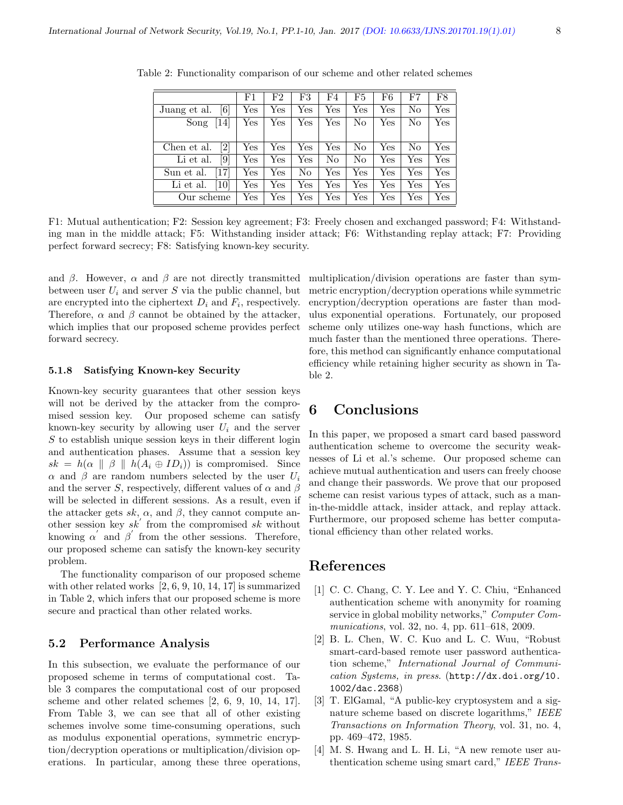|                                  | F1           | F2           | F3           | F4           | F5  | F6                   | F7  | F8  |
|----------------------------------|--------------|--------------|--------------|--------------|-----|----------------------|-----|-----|
| [6]<br>Juang et al.              | $_{\rm Yes}$ | Yes          | Yes          | Yes          | Yes | $\operatorname{Yes}$ | No  | Yes |
| Song<br><b>14</b>                | $_{\rm Yes}$ | Yes          | Yes          | Yes          | No  | $\operatorname{Yes}$ | No  | Yes |
|                                  |              |              |              |              |     |                      |     |     |
| $\left[ 2\right]$<br>Chen et al. | Yes          | Yes          | Yes          | Yes          | No  | $\operatorname{Yes}$ | No  | Yes |
| [9]<br>Li et al.                 | Yes          | Yes          | Yes          | No           | No  | $\operatorname{Yes}$ | Yes | Yes |
| 17<br>Sun et al.                 | Yes          | Yes          | No           | Yes          | Yes | Yes                  | Yes | Yes |
| 10 <sup>1</sup><br>Li et al.     | $_{\rm Yes}$ | Yes          | $_{\rm Yes}$ | Yes          | Yes | Yes                  | Yes | Yes |
| Our scheme                       | $_{\rm Yes}$ | $_{\rm Yes}$ | $_{\rm Yes}$ | $_{\rm Yes}$ | Yes | $_{\rm Yes}$         | Yes | Yes |

Table 2: Functionality comparison of our scheme and other related schemes

F1: Mutual authentication; F2: Session key agreement; F3: Freely chosen and exchanged password; F4: Withstanding man in the middle attack; F5: Withstanding insider attack; F6: Withstanding replay attack; F7: Providing perfect forward secrecy; F8: Satisfying known-key security.

and  $\beta$ . However,  $\alpha$  and  $\beta$  are not directly transmitted between user  $U_i$  and server  $S$  via the public channel, but are encrypted into the ciphertext  $D_i$  and  $F_i$ , respectively. Therefore,  $\alpha$  and  $\beta$  cannot be obtained by the attacker, which implies that our proposed scheme provides perfect forward secrecy.

#### 5.1.8 Satisfying Known-key Security

Known-key security guarantees that other session keys will not be derived by the attacker from the compromised session key. Our proposed scheme can satisfy known-key security by allowing user  $U_i$  and the server  $S$  to establish unique session keys in their different login and authentication phases. Assume that a session key  $sk = h(\alpha \parallel \beta \parallel h(A_i \oplus ID_i))$  is compromised. Since  $\alpha$  and  $\beta$  are random numbers selected by the user  $U_i$ and the server S, respectively, different values of  $\alpha$  and  $\beta$ will be selected in different sessions. As a result, even if the attacker gets sk,  $\alpha$ , and  $\beta$ , they cannot compute another session key  $sk'$  from the compromised  $sk$  without knowing  $\alpha'$  and  $\beta'$  from the other sessions. Therefore, our proposed scheme can satisfy the known-key security problem.

The functionality comparison of our proposed scheme with other related works [2, 6, 9, 10, 14, 17] is summarized in Table 2, which infers that our proposed scheme is more secure and practical than other related works.

#### 5.2 Performance Analysis

In this subsection, we evaluate the performance of our proposed scheme in terms of computational cost. Table 3 compares the computational cost of our proposed scheme and other related schemes [2, 6, 9, 10, 14, 17]. From Table 3, we can see that all of other existing schemes involve some time-consuming operations, such as modulus exponential operations, symmetric encryption/decryption operations or multiplication/division operations. In particular, among these three operations,

multiplication/division operations are faster than symmetric encryption/decryption operations while symmetric encryption/decryption operations are faster than modulus exponential operations. Fortunately, our proposed scheme only utilizes one-way hash functions, which are much faster than the mentioned three operations. Therefore, this method can significantly enhance computational efficiency while retaining higher security as shown in Table 2.

### 6 Conclusions

In this paper, we proposed a smart card based password authentication scheme to overcome the security weaknesses of Li et al.'s scheme. Our proposed scheme can achieve mutual authentication and users can freely choose and change their passwords. We prove that our proposed scheme can resist various types of attack, such as a manin-the-middle attack, insider attack, and replay attack. Furthermore, our proposed scheme has better computational efficiency than other related works.

### References

- [1] C. C. Chang, C. Y. Lee and Y. C. Chiu, "Enhanced authentication scheme with anonymity for roaming service in global mobility networks," Computer Communications, vol. 32, no. 4, pp. 611–618, 2009.
- [2] B. L. Chen, W. C. Kuo and L. C. Wuu, "Robust smart-card-based remote user password authentication scheme," International Journal of Communication Systems, in press. (http://dx.doi.org/10. 1002/dac.2368)
- [3] T. ElGamal, "A public-key cryptosystem and a signature scheme based on discrete logarithms," IEEE Transactions on Information Theory, vol. 31, no. 4, pp. 469–472, 1985.
- [4] M. S. Hwang and L. H. Li, "A new remote user authentication scheme using smart card," IEEE Trans-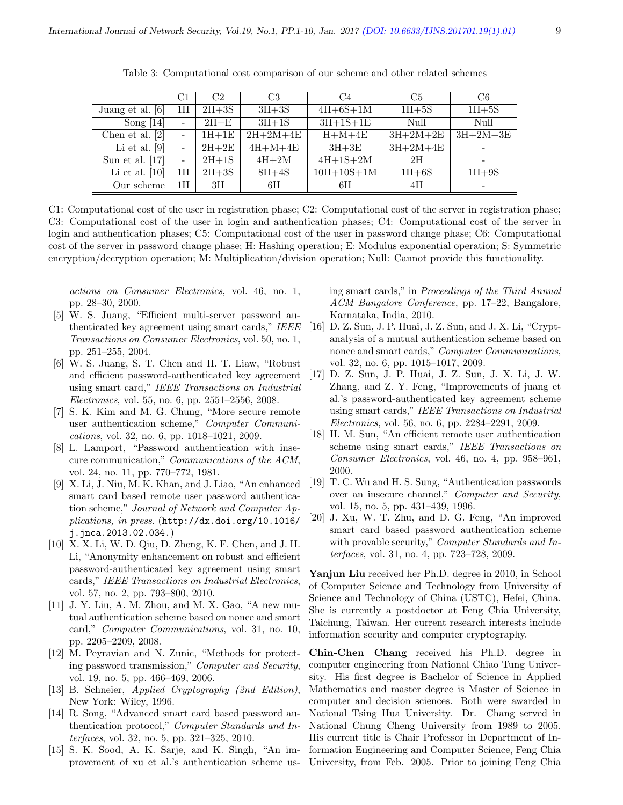|                                | C1 | C <sub>2</sub> | C <sub>3</sub> | C <sub>4</sub>   | C <sub>5</sub> | C6         |
|--------------------------------|----|----------------|----------------|------------------|----------------|------------|
| Juang et al. [6]               | 1Н | $2H+3S$        | $3H+3S$        | $4H+6S+1M$       | $1H+5S$        | $1H+5S$    |
| Song $[14]$                    |    | $2H + E$       | $3H+1S$        | $3H+1S+1E$       | Null           | Null       |
| Chen et al. $[2]$              |    | $1H+1E$        | $2H+2M+4E$     | $H+M+4E$         | $3H+2M+2E$     | $3H+2M+3E$ |
| $\lceil 9 \rceil$<br>Li et al. |    | $2H+2E$        | $4H+M+4E$      | $3H+3E$          | $3H+2M+4E$     |            |
| Sun et al. $[17]$              |    | $2H+1S$        | $4H+2M$        | $4H+1S+2M$       | 2H             |            |
| Li et al. $[10]$               | 1Н | $2H+3S$        | $8H+4S$        | $10H + 10S + 1M$ | $1H+6S$        | $1H+9S$    |
| Our scheme                     | 1Н | 3H             | 6H             | 6H               | 4H             |            |

Table 3: Computational cost comparison of our scheme and other related schemes

C1: Computational cost of the user in registration phase; C2: Computational cost of the server in registration phase; C3: Computational cost of the user in login and authentication phases; C4: Computational cost of the server in login and authentication phases; C5: Computational cost of the user in password change phase; C6: Computational cost of the server in password change phase; H: Hashing operation; E: Modulus exponential operation; S: Symmetric encryption/decryption operation; M: Multiplication/division operation; Null: Cannot provide this functionality.

actions on Consumer Electronics, vol. 46, no. 1, pp. 28–30, 2000.

- [5] W. S. Juang, "Efficient multi-server password authenticated key agreement using smart cards," IEEE Transactions on Consumer Electronics, vol. 50, no. 1, pp. 251–255, 2004.
- [6] W. S. Juang, S. T. Chen and H. T. Liaw, "Robust and efficient password-authenticated key agreement using smart card," IEEE Transactions on Industrial Electronics, vol. 55, no. 6, pp. 2551–2556, 2008.
- [7] S. K. Kim and M. G. Chung, "More secure remote user authentication scheme," Computer Communications, vol. 32, no. 6, pp. 1018–1021, 2009.
- [8] L. Lamport, "Password authentication with insecure communication," Communications of the ACM, vol. 24, no. 11, pp. 770–772, 1981.
- [9] X. Li, J. Niu, M. K. Khan, and J. Liao, "An enhanced smart card based remote user password authentication scheme," Journal of Network and Computer Applications, in press. (http://dx.doi.org/10.1016/ j.jnca.2013.02.034.)
- [10] X. X. Li, W. D. Qiu, D. Zheng, K. F. Chen, and J. H. Li, "Anonymity enhancement on robust and efficient password-authenticated key agreement using smart cards," IEEE Transactions on Industrial Electronics, vol. 57, no. 2, pp. 793–800, 2010.
- [11] J. Y. Liu, A. M. Zhou, and M. X. Gao, "A new mutual authentication scheme based on nonce and smart card," Computer Communications, vol. 31, no. 10, pp. 2205–2209, 2008.
- [12] M. Peyravian and N. Zunic, "Methods for protecting password transmission," Computer and Security, vol. 19, no. 5, pp. 466–469, 2006.
- [13] B. Schneier, Applied Cryptography (2nd Edition), New York: Wiley, 1996.
- [14] R. Song, "Advanced smart card based password authentication protocol," Computer Standards and Interfaces, vol. 32, no. 5, pp. 321–325, 2010.
- [15] S. K. Sood, A. K. Sarje, and K. Singh, "An improvement of xu et al.'s authentication scheme us-

ing smart cards," in Proceedings of the Third Annual ACM Bangalore Conference, pp. 17–22, Bangalore, Karnataka, India, 2010.

- [16] D. Z. Sun, J. P. Huai, J. Z. Sun, and J. X. Li, "Cryptanalysis of a mutual authentication scheme based on nonce and smart cards," *Computer Communications*, vol. 32, no. 6, pp. 1015–1017, 2009.
- [17] D. Z. Sun, J. P. Huai, J. Z. Sun, J. X. Li, J. W. Zhang, and Z. Y. Feng, "Improvements of juang et al.'s password-authenticated key agreement scheme using smart cards," IEEE Transactions on Industrial Electronics, vol. 56, no. 6, pp. 2284–2291, 2009.
- [18] H. M. Sun, "An efficient remote user authentication scheme using smart cards," IEEE Transactions on Consumer Electronics, vol. 46, no. 4, pp. 958–961, 2000.
- [19] T. C. Wu and H. S. Sung, "Authentication passwords over an insecure channel," Computer and Security, vol. 15, no. 5, pp. 431–439, 1996.
- [20] J. Xu, W. T. Zhu, and D. G. Feng, "An improved smart card based password authentication scheme with provable security," Computer Standards and Interfaces, vol. 31, no. 4, pp. 723–728, 2009.

Yanjun Liu received her Ph.D. degree in 2010, in School of Computer Science and Technology from University of Science and Technology of China (USTC), Hefei, China. She is currently a postdoctor at Feng Chia University, Taichung, Taiwan. Her current research interests include information security and computer cryptography.

Chin-Chen Chang received his Ph.D. degree in computer engineering from National Chiao Tung University. His first degree is Bachelor of Science in Applied Mathematics and master degree is Master of Science in computer and decision sciences. Both were awarded in National Tsing Hua University. Dr. Chang served in National Chung Cheng University from 1989 to 2005. His current title is Chair Professor in Department of Information Engineering and Computer Science, Feng Chia University, from Feb. 2005. Prior to joining Feng Chia